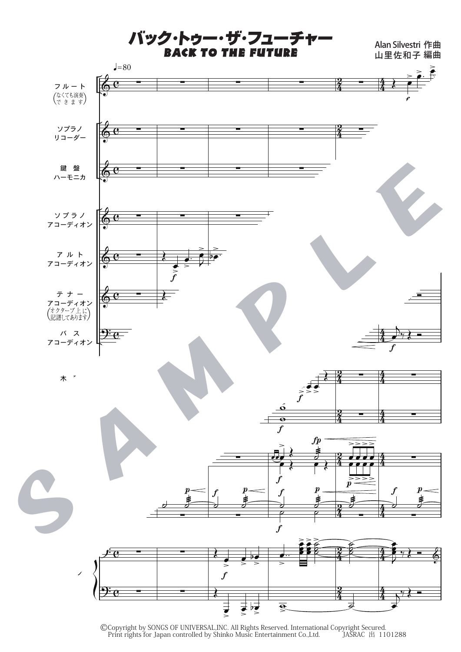バック・トゥー・ザ・フューチャ

Alan Silvestri 作曲<br>山里佐和子 編曲



©Copyright by SONGS OF UNIVERSAL, INC. All Rights Reserved. International Copyright Secured.<br>Print rights for Japan controlled by Shinko Music Entertainment Co., Ltd. JASRAC 出 1101288